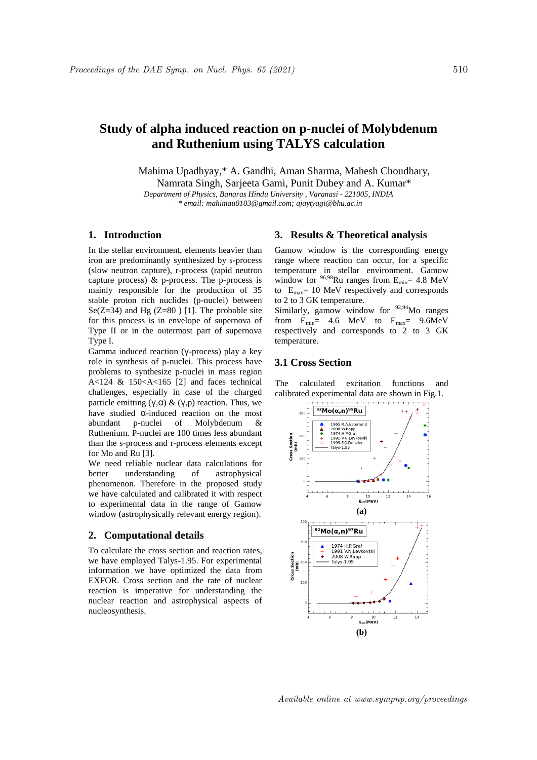# **Study of alpha induced reaction on p-nuclei of Molybdenum and Ruthenium using TALYS calculation**

Mahima Upadhyay,\* A. Gandhi, Aman Sharma, Mahesh Choudhary,

Namrata Singh, Sarjeeta Gami, Punit Dubey and A. Kumar\*

*Department of Physics, Banaras Hindu University , Varanasi - 221005, INDIA . \* email: mahimau0103@gmail.com; ajaytyagi@bhu.ac.in*

## **1. Introduction**

In the stellar environment, elements heavier than iron are predominantly synthesized by s-process (slow neutron capture), r-process (rapid neutron capture process)  $\&$  p-process. The p-process is mainly responsible for the production of 35 stable proton rich nuclides (p-nuclei) between Se( $Z=34$ ) and Hg ( $Z=80$ ) [1]. The probable site for this process is in envelope of supernova of Type II or in the outermost part of supernova Type I.

Gamma induced reaction (γ-process) play a key role in synthesis of p-nuclei. This process have problems to synthesize p-nuclei in mass region A<124 & 150<A<165 [2] and faces technical challenges, especially in case of the charged particle emitting  $(V, \alpha)$  &  $(V, p)$  reaction. Thus, we have studied α-induced reaction on the most abundant p-nuclei of Molybdenum & Ruthenium. P-nuclei are 100 times less abundant than the s-process and r-process elements except for Mo and Ru [3].

We need reliable nuclear data calculations for better understanding of astrophysical phenomenon. Therefore in the proposed study we have calculated and calibrated it with respect to experimental data in the range of Gamow window (astrophysically relevant energy region).

#### **2. Computational details**

To calculate the cross section and reaction rates, we have employed Talys-1.95. For experimental information we have optimized the data from EXFOR. Cross section and the rate of nuclear reaction is imperative for understanding the nuclear reaction and astrophysical aspects of nucleosynthesis.

#### **3. Results & Theoretical analysis**

Gamow window is the corresponding energy range where reaction can occur, for a specific temperature in stellar environment. Gamow window for  $96,98$ Ru ranges from  $E_{\text{min}}$  = 4.8 MeV to  $E_{\text{max}}$  = 10 MeV respectively and corresponds to 2 to 3 GK temperature.

Similarly, gamow window for  $92,94$ Mo ranges from  $E_{min}$  = 4.6 MeV to  $E_{max}$  = 9.6MeV respectively and corresponds to 2 to 3 GK temperature.

## **3.1 Cross Section**

The calculated excitation functions and calibrated experimental data are shown in Fig.1.



Available online at www.sympnp.org/proceedings